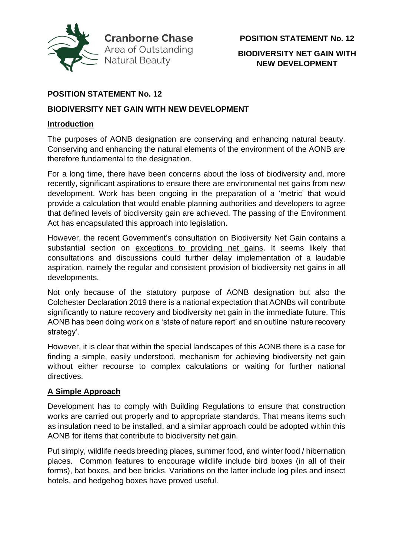

#### **BIODIVERSITY NET GAIN WITH NEW DEVELOPMENT**

## **POSITION STATEMENT No. 12**

#### **BIODIVERSITY NET GAIN WITH NEW DEVELOPMENT**

#### **Introduction**

The purposes of AONB designation are conserving and enhancing natural beauty. Conserving and enhancing the natural elements of the environment of the AONB are therefore fundamental to the designation.

For a long time, there have been concerns about the loss of biodiversity and, more recently, significant aspirations to ensure there are environmental net gains from new development. Work has been ongoing in the preparation of a 'metric' that would provide a calculation that would enable planning authorities and developers to agree that defined levels of biodiversity gain are achieved. The passing of the Environment Act has encapsulated this approach into legislation.

However, the recent Government's consultation on Biodiversity Net Gain contains a substantial section on exceptions to providing net gains. It seems likely that consultations and discussions could further delay implementation of a laudable aspiration, namely the regular and consistent provision of biodiversity net gains in all developments.

Not only because of the statutory purpose of AONB designation but also the Colchester Declaration 2019 there is a national expectation that AONBs will contribute significantly to nature recovery and biodiversity net gain in the immediate future. This AONB has been doing work on a 'state of nature report' and an outline 'nature recovery strategy'.

However, it is clear that within the special landscapes of this AONB there is a case for finding a simple, easily understood, mechanism for achieving biodiversity net gain without either recourse to complex calculations or waiting for further national directives.

## **A Simple Approach**

Development has to comply with Building Regulations to ensure that construction works are carried out properly and to appropriate standards. That means items such as insulation need to be installed, and a similar approach could be adopted within this AONB for items that contribute to biodiversity net gain.

Put simply, wildlife needs breeding places, summer food, and winter food / hibernation places. Common features to encourage wildlife include bird boxes (in all of their forms), bat boxes, and bee bricks. Variations on the latter include log piles and insect hotels, and hedgehog boxes have proved useful.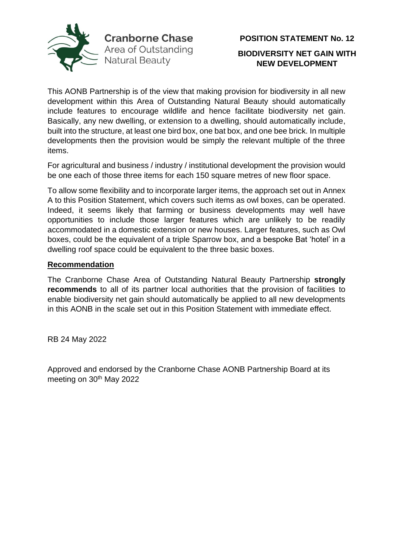

This AONB Partnership is of the view that making provision for biodiversity in all new development within this Area of Outstanding Natural Beauty should automatically include features to encourage wildlife and hence facilitate biodiversity net gain. Basically, any new dwelling, or extension to a dwelling, should automatically include, built into the structure, at least one bird box, one bat box, and one bee brick. In multiple developments then the provision would be simply the relevant multiple of the three items.

For agricultural and business / industry / institutional development the provision would be one each of those three items for each 150 square metres of new floor space.

To allow some flexibility and to incorporate larger items, the approach set out in Annex A to this Position Statement, which covers such items as owl boxes, can be operated. Indeed, it seems likely that farming or business developments may well have opportunities to include those larger features which are unlikely to be readily accommodated in a domestic extension or new houses. Larger features, such as Owl boxes, could be the equivalent of a triple Sparrow box, and a bespoke Bat 'hotel' in a dwelling roof space could be equivalent to the three basic boxes.

#### **Recommendation**

The Cranborne Chase Area of Outstanding Natural Beauty Partnership **strongly recommends** to all of its partner local authorities that the provision of facilities to enable biodiversity net gain should automatically be applied to all new developments in this AONB in the scale set out in this Position Statement with immediate effect.

RB 24 May 2022

Approved and endorsed by the Cranborne Chase AONB Partnership Board at its meeting on 30<sup>th</sup> May 2022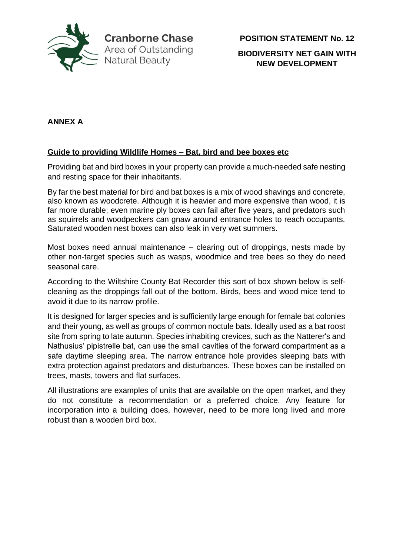

**POSITION STATEMENT No. 12**

**BIODIVERSITY NET GAIN WITH NEW DEVELOPMENT**

# **ANNEX A**

## **Guide to providing Wildlife Homes – Bat, bird and bee boxes etc**

Providing bat and bird boxes in your property can provide a much-needed safe nesting and resting space for their inhabitants.

By far the best material for bird and bat boxes is a mix of wood shavings and concrete, also known as woodcrete. Although it is heavier and more expensive than wood, it is far more durable; even marine ply boxes can fail after five years, and predators such as squirrels and woodpeckers can gnaw around entrance holes to reach occupants. Saturated wooden nest boxes can also leak in very wet summers.

Most boxes need annual maintenance – clearing out of droppings, nests made by other non-target species such as wasps, woodmice and tree bees so they do need seasonal care.

According to the Wiltshire County Bat Recorder this sort of box shown below is selfcleaning as the droppings fall out of the bottom. Birds, bees and wood mice tend to avoid it due to its narrow profile.

It is designed for larger species and is sufficiently large enough for female bat colonies and their young, as well as groups of common noctule bats. Ideally used as a bat roost site from spring to late autumn. Species inhabiting crevices, such as the Natterer's and Nathusius' pipistrelle bat, can use the small cavities of the forward compartment as a safe daytime sleeping area. The narrow entrance hole provides sleeping bats with extra protection against predators and disturbances. These boxes can be installed on trees, masts, towers and flat surfaces.

All illustrations are examples of units that are available on the open market, and they do not constitute a recommendation or a preferred choice. Any feature for incorporation into a building does, however, need to be more long lived and more robust than a wooden bird box.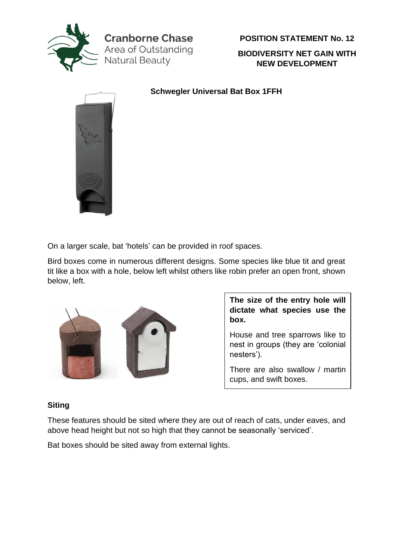

**Cranborne Chase** Area of Outstanding Natural Beauty

**POSITION STATEMENT No. 12**

**BIODIVERSITY NET GAIN WITH NEW DEVELOPMENT**

**Schwegler Universal Bat Box 1FFH**



On a larger scale, bat 'hotels' can be provided in roof spaces.

Bird boxes come in numerous different designs. Some species like blue tit and great tit like a box with a hole, below left whilst others like robin prefer an open front, shown below, left.



**The size of the entry hole will dictate what species use the box.** 

House and tree sparrows like to nest in groups (they are 'colonial nesters').

There are also swallow / martin cups, and swift boxes.

## **Siting**

These features should be sited where they are out of reach of cats, under eaves, and above head height but not so high that they cannot be seasonally 'serviced'.

Bat boxes should be sited away from external lights.